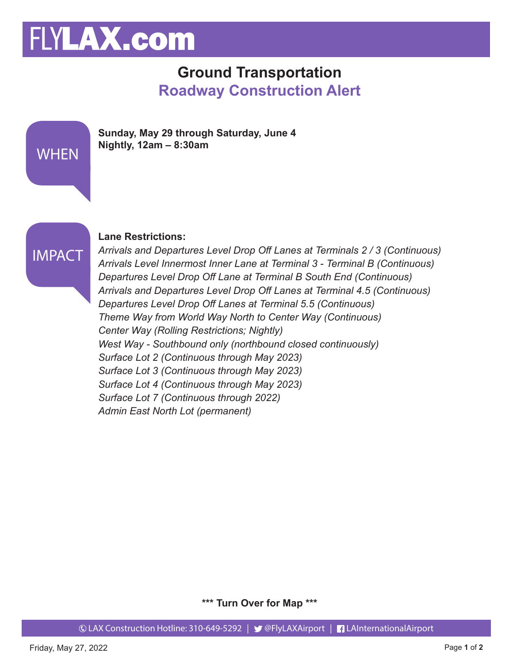# FLYLAX.com

### **Ground Transportation Roadway Construction Alert**





**WHEN** 

#### **Lane Restrictions:**

*Arrivals and Departures Level Drop Off Lanes at Terminals 2 / 3 (Continuous) Arrivals Level Innermost Inner Lane at Terminal 3 - Terminal B (Continuous) Departures Level Drop Off Lane at Terminal B South End (Continuous) Arrivals and Departures Level Drop Off Lanes at Terminal 4.5 (Continuous) Departures Level Drop Off Lanes at Terminal 5.5 (Continuous) Theme Way from World Way North to Center Way (Continuous) Center Way (Rolling Restrictions; Nightly) West Way - Southbound only (northbound closed continuously) Surface Lot 2 (Continuous through May 2023) Surface Lot 3 (Continuous through May 2023) Surface Lot 4 (Continuous through May 2023) Surface Lot 7 (Continuous through 2022) Admin East North Lot (permanent)*

**\*\*\* Turn Over for Map \*\*\***